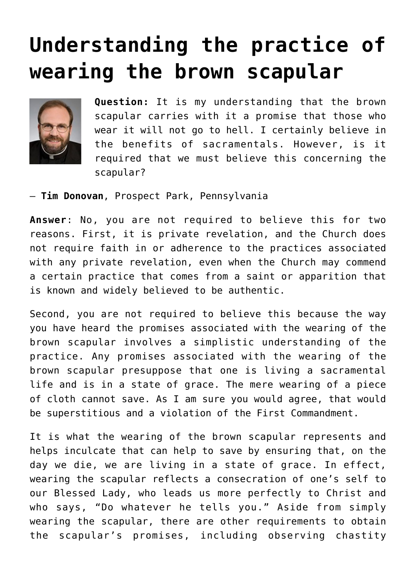## **[Understanding the practice of](https://www.osvnews.com/amp/2019/08/19/understanding-the-practice-of-wearing-the-brown-scapular/) [wearing the brown scapular](https://www.osvnews.com/amp/2019/08/19/understanding-the-practice-of-wearing-the-brown-scapular/)**



**Question:** It is my understanding that the brown scapular carries with it a promise that those who wear it will not go to hell. I certainly believe in the benefits of sacramentals. However, is it required that we must believe this concerning the scapular?

— **Tim Donovan**, Prospect Park, Pennsylvania

**Answer**: No, you are not required to believe this for two reasons. First, it is private revelation, and the Church does not require faith in or adherence to the practices associated with any private revelation, even when the Church may commend a certain practice that comes from a saint or apparition that is known and widely believed to be authentic.

Second, you are not required to believe this because the way you have heard the promises associated with the wearing of the brown scapular involves a simplistic understanding of the practice. Any promises associated with the wearing of the brown scapular presuppose that one is living a sacramental life and is in a state of grace. The mere wearing of a piece of cloth cannot save. As I am sure you would agree, that would be superstitious and a violation of the First Commandment.

It is what the wearing of the brown scapular represents and helps inculcate that can help to save by ensuring that, on the day we die, we are living in a state of grace. In effect, wearing the scapular reflects a consecration of one's self to our Blessed Lady, who leads us more perfectly to Christ and who says, "Do whatever he tells you." Aside from simply wearing the scapular, there are other requirements to obtain the scapular's promises, including observing chastity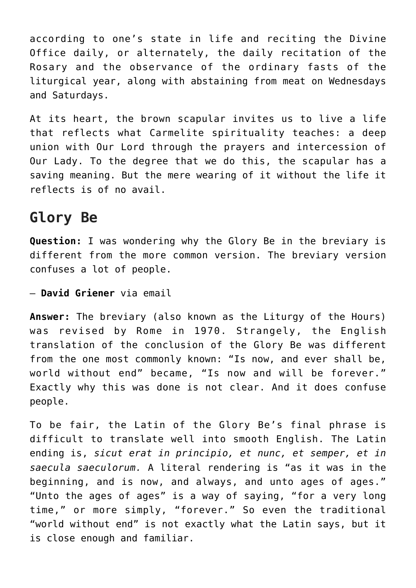according to one's state in life and reciting the Divine Office daily, or alternately, the daily recitation of the Rosary and the observance of the ordinary fasts of the liturgical year, along with abstaining from meat on Wednesdays and Saturdays.

At its heart, the brown scapular invites us to live a life that reflects what Carmelite spirituality teaches: a deep union with Our Lord through the prayers and intercession of Our Lady. To the degree that we do this, the scapular has a saving meaning. But the mere wearing of it without the life it reflects is of no avail.

## **Glory Be**

**Question:** I was wondering why the Glory Be in the breviary is different from the more common version. The breviary version confuses a lot of people.

— **David Griener** via email

**Answer:** The breviary (also known as the Liturgy of the Hours) was revised by Rome in 1970. Strangely, the English translation of the conclusion of the Glory Be was different from the one most commonly known: "Is now, and ever shall be, world without end" became, "Is now and will be forever." Exactly why this was done is not clear. And it does confuse people.

To be fair, the Latin of the Glory Be's final phrase is difficult to translate well into smooth English. The Latin ending is, *sicut erat in principio, et nunc, et semper, et in saecula saeculorum.* A literal rendering is "as it was in the beginning, and is now, and always, and unto ages of ages." "Unto the ages of ages" is a way of saying, "for a very long time," or more simply, "forever." So even the traditional "world without end" is not exactly what the Latin says, but it is close enough and familiar.